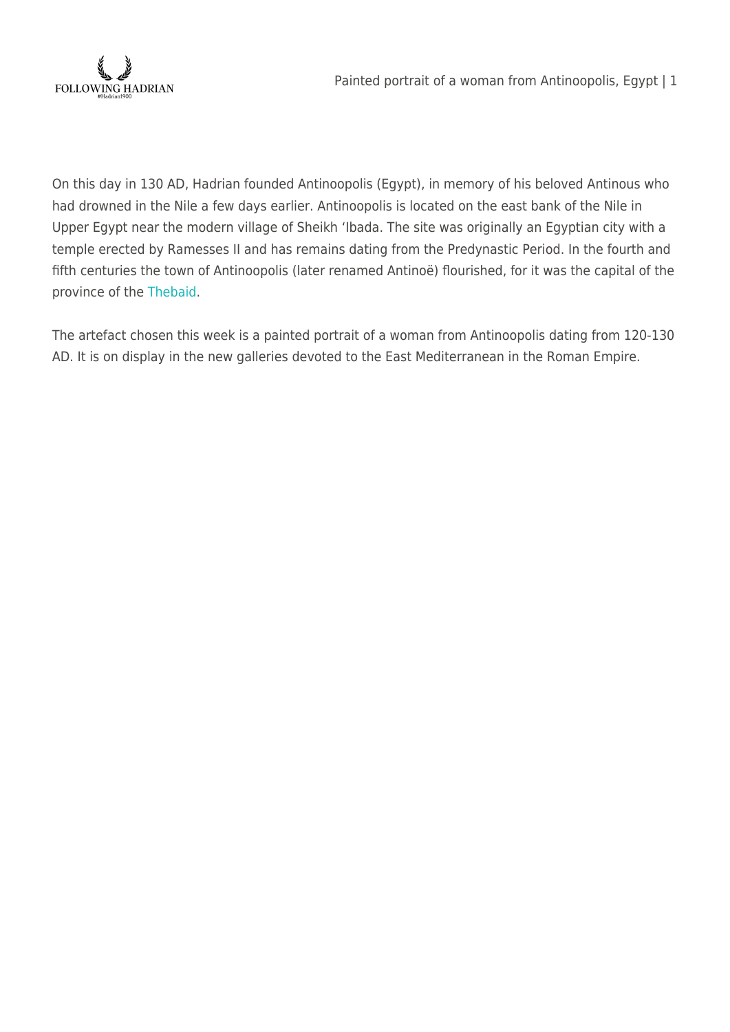

On this day in 130 AD, Hadrian founded Antinoopolis (Egypt), in memory of his beloved Antinous who had drowned in the Nile a few days earlier. Antinoopolis is located on the east bank of the Nile in Upper Egypt near the modern village of Sheikh 'Ibada. The site was originally an Egyptian city with a temple erected by Ramesses II and has remains dating from the Predynastic Period. In the fourth and fifth centuries the town of Antinoopolis (later renamed Antinoë) flourished, for it was the capital of the province of the [Thebaid](https://en.wikipedia.org/wiki/Thebaid).

The artefact chosen this week is a painted portrait of a woman from Antinoopolis dating from 120-130 AD. It is on display in the new galleries devoted to the East Mediterranean in the Roman Empire.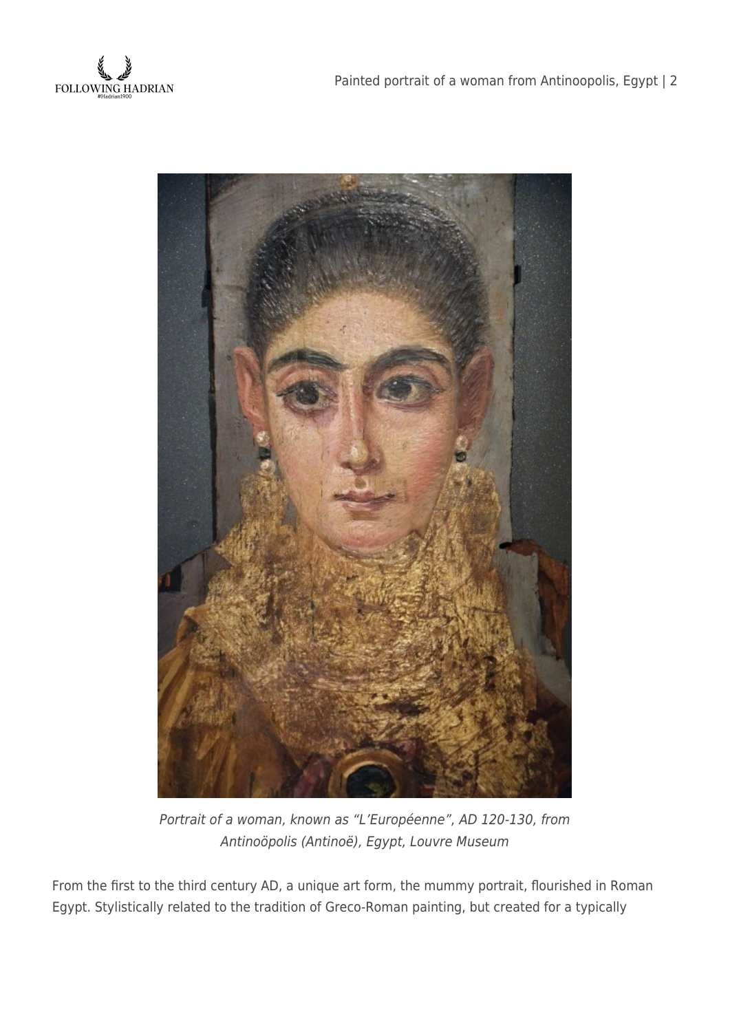



Portrait of a woman, known as "L'Européenne", AD 120-130, from Antinoöpolis (Antinoë), Egypt, Louvre Museum

From the first to the third century AD, a unique art form, the mummy portrait, flourished in Roman Egypt. Stylistically related to the tradition of Greco-Roman painting, but created for a typically